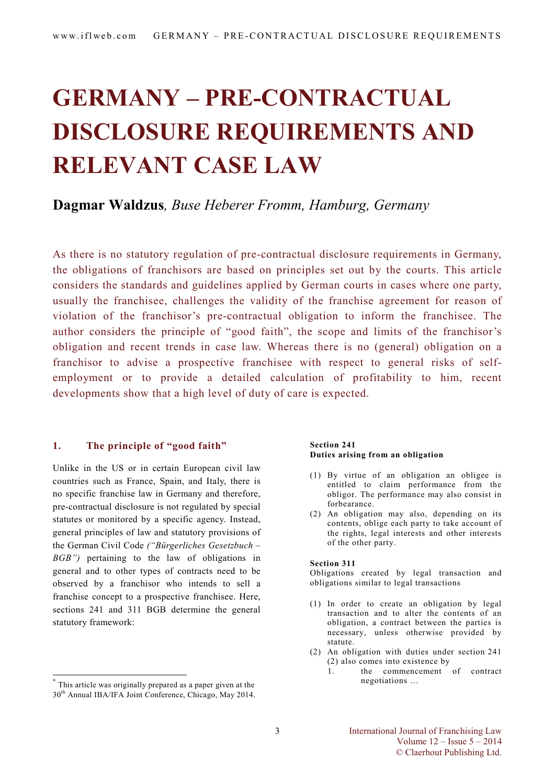# **GERMANY – PRE-CONTRACTUAL DISCLOSURE REQUIREMENTS AND RELEVANT CASE LAW**

### **Dagmar Waldzus***, Buse Heberer Fromm, Hamburg, Germany*

As there is no statutory regulation of pre-contractual disclosure requirements in Germany, the obligations of franchisors are based on principles set out by the courts. This article considers the standards and guidelines applied by German courts in cases where one party, usually the franchisee, challenges the validity of the franchise agreement for reason of violation of the franchisor's pre-contractual obligation to inform the franchisee. The author considers the principle of "good faith", the scope and limits of the franchisor's obligation and recent trends in case law. Whereas there is no (general) obligation on a franchisor to advise a prospective franchisee with respect to general risks of selfemployment or to provide a detailed calculation of profitability to him, recent developments show that a high level of duty of care is expected.

#### **1. The principle of "good faith" [\\*](#page-0-0)**

Unlike in the US or in certain European civil law countries such as France, Spain, and Italy, there is no specific franchise law in Germany and therefore, pre-contractual disclosure is not regulated by special statutes or monitored by a specific agency. Instead, general principles of law and statutory provisions of the German Civil Code *("Bürgerliches Gesetzbuch – BGB")* pertaining to the law of obligations in general and to other types of contracts need to be observed by a franchisor who intends to sell a franchise concept to a prospective franchisee. Here, sections 241 and 311 BGB determine the general statutory framework:

1

#### **Section 241 Duties arising from an obligation**

- (1) By virtue of an obligation an obligee is entitled to claim performance from the obligor. The performance may also consist in forbearance.
- (2) An obligation may also, depending on its contents, oblige each party to take account of the rights, legal interests and other interests of the other party.

#### **Section 311**

Obligations created by legal transaction and obligations similar to legal transactions

- (1) In order to create an obligation by legal transaction and to alter the contents of an obligation, a contract between the parties is necessary, unless otherwise provided by statute.
- (2) An obligation with duties under section 241 (2) also comes into existence by
	- 1. the commencement of contract negotiations …

<span id="page-0-0"></span><sup>\*</sup> This article was originally prepared as a paper given at the 30<sup>th</sup> Annual IBA/IFA Joint Conference, Chicago, May 2014.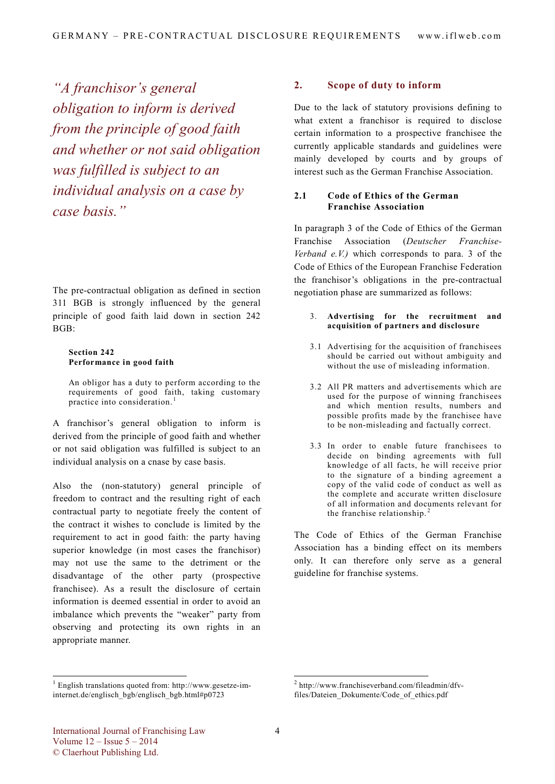*"A franchisor's general obligation to inform is derived from the principle of good faith and whether or not said obligation was fulfilled is subject to an individual analysis on a case by case basis."*

The pre-contractual obligation as defined in section 311 BGB is strongly influenced by the general principle of good faith laid down in section 242 BGB:

#### **Section 242 Performance in good faith**

An obligor has a duty to perform according to the requirements of good faith, taking customary practice into consideration. [1](#page-1-0)

A franchisor's general obligation to inform is derived from the principle of good faith and whether or not said obligation was fulfilled is subject to an individual analysis on a cnase by case basis.

Also the (non-statutory) general principle of freedom to contract and the resulting right of each contractual party to negotiate freely the content of the contract it wishes to conclude is limited by the requirement to act in good faith: the party having superior knowledge (in most cases the franchisor) may not use the same to the detriment or the disadvantage of the other party (prospective franchisee). As a result the disclosure of certain information is deemed essential in order to avoid an imbalance which prevents the "weaker" party from observing and protecting its own rights in an appropriate manner.

#### **2. Scope of duty to inform**

Due to the lack of statutory provisions defining to what extent a franchisor is required to disclose certain information to a prospective franchisee the currently applicable standards and guidelines were mainly developed by courts and by groups of interest such as the German Franchise Association.

#### **2.1 Code of Ethics of the German Franchise Association**

In paragraph 3 of the Code of Ethics of the German Franchise Association (*Deutscher Franchise-Verband e.V.)* which corresponds to para. 3 of the Code of Ethics of the European Franchise Federation the franchisor's obligations in the pre-contractual negotiation phase are summarized as follows:

- 3. **Advertising for the recruitment and acquisition of partners and disclosure**
- 3.1 Advertising for the acquisition of franchisees should be carried out without ambiguity and without the use of misleading information.
- 3.2 All PR matters and advertisements which are used for the purpose of winning franchisees and which mention results, numbers and possible profits made by the franchisee have to be non-misleading and factually correct.
- 3.3 In order to enable future franchisees to decide on binding agreements with full knowledge of all facts, he will receive prior to the signature of a binding agreement a copy of the valid code of conduct as well as the complete and accurate written disclosure of all information and documents relevant for the franchise relationship.<sup>[2](#page-1-0)</sup>

The Code of Ethics of the German Franchise Association has a binding effect on its members only. It can therefore only serve as a general guideline for franchise systems.

<span id="page-1-0"></span> 1 English translations quoted from: http://www.gesetze-iminternet.de/englisch\_bgb/englisch\_bgb.html#p0723

 2 http://www.franchiseverband.com/fileadmin/dfvfiles/Dateien\_Dokumente/Code\_of\_ethics.pdf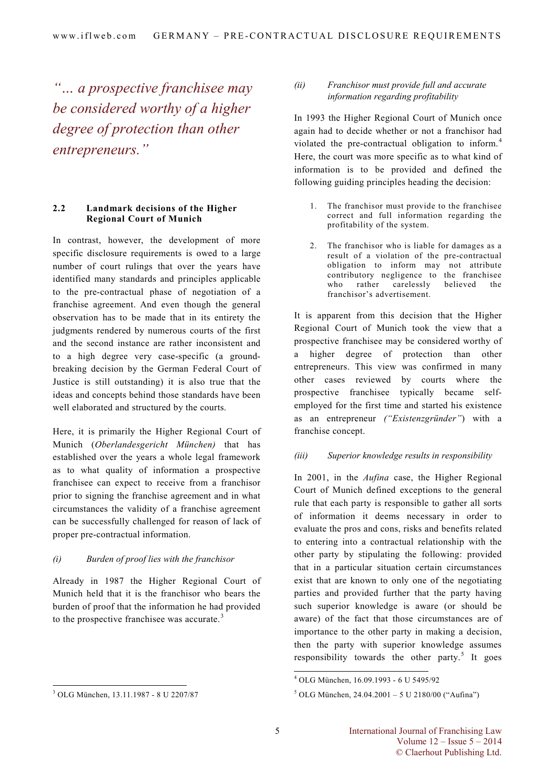*"… a prospective franchisee may be considered worthy of a higher degree of protection than other entrepreneurs."* 

#### **2.2 Landmark decisions of the Higher Regional Court of Munich**

In contrast, however, the development of more specific disclosure requirements is owed to a large number of court rulings that over the years have identified many standards and principles applicable to the pre-contractual phase of negotiation of a franchise agreement. And even though the general observation has to be made that in its entirety the judgments rendered by numerous courts of the first and the second instance are rather inconsistent and to a high degree very case-specific (a groundbreaking decision by the German Federal Court of Justice is still outstanding) it is also true that the ideas and concepts behind those standards have been well elaborated and structured by the courts.

Here, it is primarily the Higher Regional Court of Munich (*Oberlandesgericht München)* that has established over the years a whole legal framework as to what quality of information a prospective franchisee can expect to receive from a franchisor prior to signing the franchise agreement and in what circumstances the validity of a franchise agreement can be successfully challenged for reason of lack of proper pre-contractual information.

#### *(i) Burden of proof lies with the franchisor*

Already in 1987 the Higher Regional Court of Munich held that it is the franchisor who bears the burden of proof that the information he had provided to the prospective franchisee was accurate.<sup>[3](#page-2-0)</sup>

#### *(ii) Franchisor must provide full and accurate information regarding profitability*

In 1993 the Higher Regional Court of Munich once again had to decide whether or not a franchisor had violated the pre-contractual obligation to inform. [4](#page-2-1) Here, the court was more specific as to what kind of information is to be provided and defined the following guiding principles heading the decision:

- 1. The franchisor must provide to the franchisee correct and full information regarding the profitability of the system.
- 2. The franchisor who is liable for damages as a result of a violation of the pre-contractual obligation to inform may not attribute contributory negligence to the franchisee who rather carelessly believed the franchisor's advertisement.

It is apparent from this decision that the Higher Regional Court of Munich took the view that a prospective franchisee may be considered worthy of a higher degree of protection than other entrepreneurs. This view was confirmed in many other cases reviewed by courts where the prospective franchisee typically became selfemployed for the first time and started his existence as an entrepreneur *("Existenzgründer"*) with a franchise concept.

#### *(iii) Superior knowledge results in responsibility*

In 2001, in the *Aufina* case, the Higher Regional Court of Munich defined exceptions to the general rule that each party is responsible to gather all sorts of information it deems necessary in order to evaluate the pros and cons, risks and benefits related to entering into a contractual relationship with the other party by stipulating the following: provided that in a particular situation certain circumstances exist that are known to only one of the negotiating parties and provided further that the party having such superior knowledge is aware (or should be aware) of the fact that those circumstances are of importance to the other party in making a decision, then the party with superior knowledge assumes responsibility towards the other party. $5$  It goes

 $\overline{\phantom{a}}$ 

<span id="page-2-1"></span><span id="page-2-0"></span><sup>-</sup><sup>3</sup> OLG München, 13.11.1987 - 8 U 2207/87

<sup>4</sup> OLG München, 16.09.1993 - 6 U 5495/92

 $5$  OLG München, 24.04.2001 – 5 U 2180/00 ("Aufina")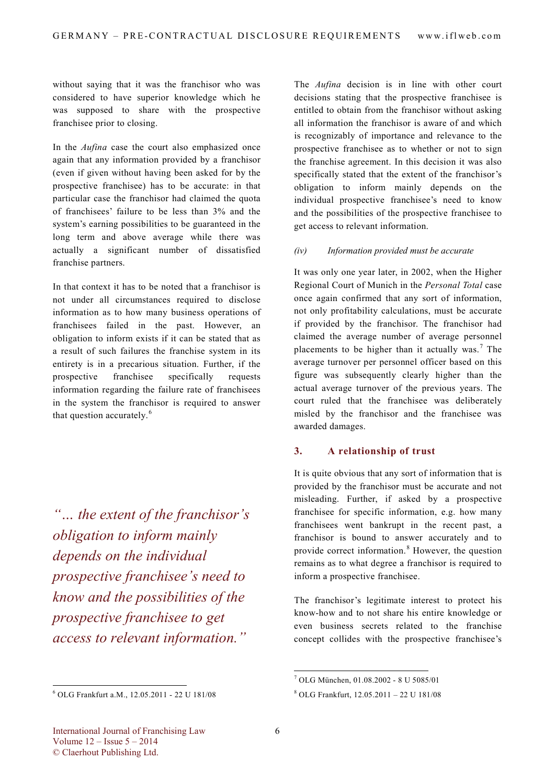without saying that it was the franchisor who was considered to have superior knowledge which he was supposed to share with the prospective franchisee prior to closing.

In the *Aufina* case the court also emphasized once again that any information provided by a franchisor (even if given without having been asked for by the prospective franchisee) has to be accurate: in that particular case the franchisor had claimed the quota of franchisees' failure to be less than 3% and the system's earning possibilities to be guaranteed in the long term and above average while there was actually a significant number of dissatisfied franchise partners.

In that context it has to be noted that a franchisor is not under all circumstances required to disclose information as to how many business operations of franchisees failed in the past. However, an obligation to inform exists if it can be stated that as a result of such failures the franchise system in its entirety is in a precarious situation. Further, if the prospective franchisee specifically requests information regarding the failure rate of franchisees in the system the franchisor is required to answer that question accurately. [6](#page-3-0)

*"… the extent of the franchisor's obligation to inform mainly depends on the individual prospective franchisee's need to know and the possibilities of the prospective franchisee to get access to relevant information."* 

-

The *Aufina* decision is in line with other court decisions stating that the prospective franchisee is entitled to obtain from the franchisor without asking all information the franchisor is aware of and which is recognizably of importance and relevance to the prospective franchisee as to whether or not to sign the franchise agreement. In this decision it was also specifically stated that the extent of the franchisor's obligation to inform mainly depends on the individual prospective franchisee's need to know and the possibilities of the prospective franchisee to get access to relevant information.

#### *(iv) Information provided must be accurate*

It was only one year later, in 2002, when the Higher Regional Court of Munich in the *Personal Total* case once again confirmed that any sort of information, not only profitability calculations, must be accurate if provided by the franchisor. The franchisor had claimed the average number of average personnel placements to be higher than it actually was.<sup>[7](#page-3-1)</sup> The average turnover per personnel officer based on this figure was subsequently clearly higher than the actual average turnover of the previous years. The court ruled that the franchisee was deliberately misled by the franchisor and the franchisee was awarded damages.

#### **3. A relationship of trust**

It is quite obvious that any sort of information that is provided by the franchisor must be accurate and not misleading. Further, if asked by a prospective franchisee for specific information, e.g. how many franchisees went bankrupt in the recent past, a franchisor is bound to answer accurately and to provide correct information.<sup>[8](#page-3-0)</sup> However, the question remains as to what degree a franchisor is required to inform a prospective franchisee.

The franchisor's legitimate interest to protect his know-how and to not share his entire knowledge or even business secrets related to the franchise concept collides with the prospective franchisee's

-

<span id="page-3-1"></span><span id="page-3-0"></span><sup>6</sup> OLG Frankfurt a.M., 12.05.2011 - 22 U 181/08

<sup>7</sup> OLG München, 01.08.2002 - 8 U 5085/01

<sup>8</sup> OLG Frankfurt, 12.05.2011 – 22 U 181/08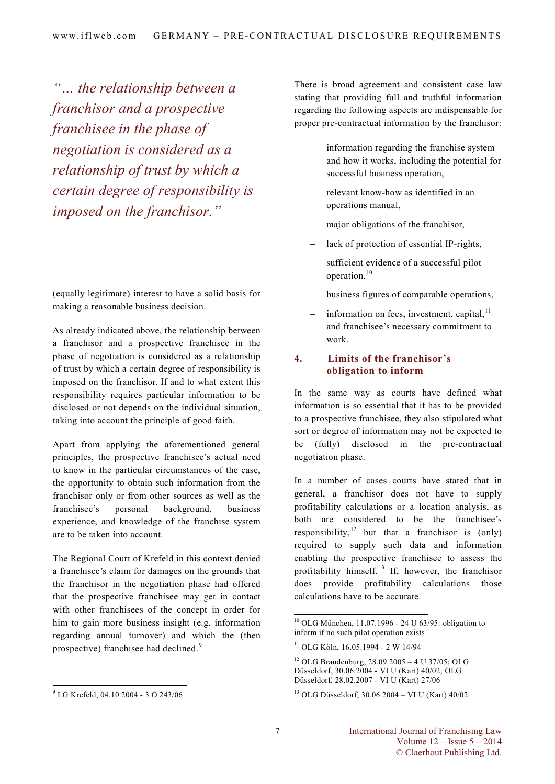*"… the relationship between a franchisor and a prospective franchisee in the phase of negotiation is considered as a relationship of trust by which a certain degree of responsibility is imposed on the franchisor."* 

(equally legitimate) interest to have a solid basis for making a reasonable business decision.

As already indicated above, the relationship between a franchisor and a prospective franchisee in the phase of negotiation is considered as a relationship of trust by which a certain degree of responsibility is imposed on the franchisor. If and to what extent this responsibility requires particular information to be disclosed or not depends on the individual situation, taking into account the principle of good faith.

Apart from applying the aforementioned general principles, the prospective franchisee's actual need to know in the particular circumstances of the case, the opportunity to obtain such information from the franchisor only or from other sources as well as the franchisee's personal background, business experience, and knowledge of the franchise system are to be taken into account.

The Regional Court of Krefeld in this context denied a franchisee's claim for damages on the grounds that the franchisor in the negotiation phase had offered that the prospective franchisee may get in contact with other franchisees of the concept in order for him to gain more business insight (e.g. information regarding annual turnover) and which the (then prospective) franchisee had declined.<sup>[9](#page-4-0)</sup>

There is broad agreement and consistent case law stating that providing full and truthful information regarding the following aspects are indispensable for proper pre-contractual information by the franchisor:

- information regarding the franchise system and how it works, including the potential for successful business operation,
- − relevant know-how as identified in an operations manual,
- major obligations of the franchisor,
- lack of protection of essential IP-rights,
- sufficient evidence of a successful pilot operation, [10](#page-4-1)
- business figures of comparable operations,
- information on fees, investment, capital, $11$ and franchisee's necessary commitment to work.

#### **4. Limits of the franchisor's obligation to inform**

In the same way as courts have defined what information is so essential that it has to be provided to a prospective franchisee, they also stipulated what sort or degree of information may not be expected to be (fully) disclosed in the pre-contractual negotiation phase.

In a number of cases courts have stated that in general, a franchisor does not have to supply profitability calculations or a location analysis, as both are considered to be the franchisee's responsibility,<sup>[12](#page-4-3)</sup> but that a franchisor is (only) required to supply such data and information enabling the prospective franchisee to assess the profitability himself. [13](#page-4-0) If, however, the franchisor does provide profitability calculations those calculations have to be accurate.

 $\overline{a}$ 

<span id="page-4-3"></span><span id="page-4-2"></span><span id="page-4-1"></span><span id="page-4-0"></span> 9 LG Krefeld, 04.10.2004 - 3 O 243/06

<sup>&</sup>lt;sup>10</sup> OLG München, 11.07.1996 - 24 U 63/95: obligation to inform if no such pilot operation exists

<sup>11</sup> OLG Köln, 16.05.1994 - 2 W 14/94

<sup>12</sup> OLG Brandenburg, 28.09.2005 – 4 U 37/05; OLG Düsseldorf, 30.06.2004 - VI U (Kart) 40/02; OLG Düsseldorf, 28.02.2007 - VI U (Kart) 27/06

<sup>13</sup> OLG Düsseldorf, 30.06.2004 – VI U (Kart) 40/02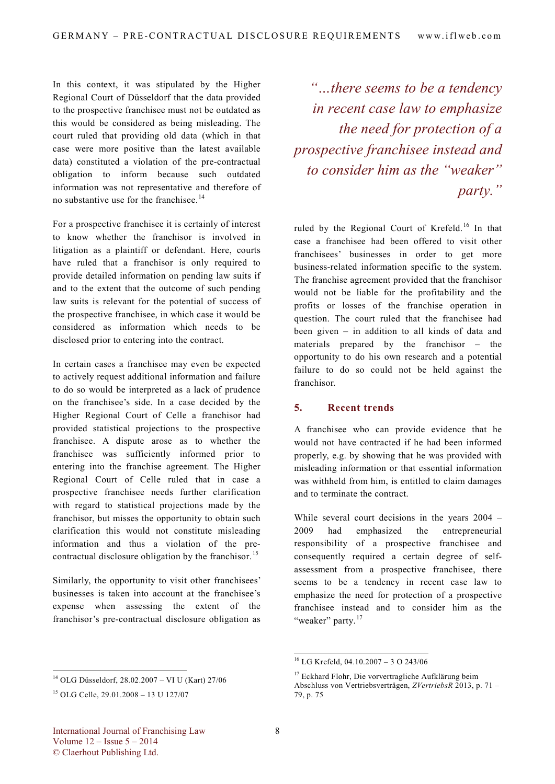In this context, it was stipulated by the Higher Regional Court of Düsseldorf that the data provided to the prospective franchisee must not be outdated as this would be considered as being misleading. The court ruled that providing old data (which in that case were more positive than the latest available data) constituted a violation of the pre-contractual obligation to inform because such outdated information was not representative and therefore of no substantive use for the franchisee. [14](#page-5-0)

For a prospective franchisee it is certainly of interest to know whether the franchisor is involved in litigation as a plaintiff or defendant. Here, courts have ruled that a franchisor is only required to provide detailed information on pending law suits if and to the extent that the outcome of such pending law suits is relevant for the potential of success of the prospective franchisee, in which case it would be considered as information which needs to be disclosed prior to entering into the contract.

In certain cases a franchisee may even be expected to actively request additional information and failure to do so would be interpreted as a lack of prudence on the franchisee's side. In a case decided by the Higher Regional Court of Celle a franchisor had provided statistical projections to the prospective franchisee. A dispute arose as to whether the franchisee was sufficiently informed prior to entering into the franchise agreement. The Higher Regional Court of Celle ruled that in case a prospective franchisee needs further clarification with regard to statistical projections made by the franchisor, but misses the opportunity to obtain such clarification this would not constitute misleading information and thus a violation of the pre-contractual disclosure obligation by the franchisor.<sup>[15](#page-5-1)</sup>

Similarly, the opportunity to visit other franchisees' businesses is taken into account at the franchisee's expense when assessing the extent of the franchisor's pre-contractual disclosure obligation as

*"…there seems to be a tendency in recent case law to emphasize the need for protection of a prospective franchisee instead and to consider him as the "weaker" party."*

ruled by the Regional Court of Krefeld.<sup>[16](#page-5-2)</sup> In that case a franchisee had been offered to visit other franchisees' businesses in order to get more business-related information specific to the system. The franchise agreement provided that the franchisor would not be liable for the profitability and the profits or losses of the franchise operation in question. The court ruled that the franchisee had been given – in addition to all kinds of data and materials prepared by the franchisor – the opportunity to do his own research and a potential failure to do so could not be held against the franchisor.

#### **5. Recent trends**

A franchisee who can provide evidence that he would not have contracted if he had been informed properly, e.g. by showing that he was provided with misleading information or that essential information was withheld from him, is entitled to claim damages and to terminate the contract.

While several court decisions in the years 2004 – 2009 had emphasized the entrepreneurial responsibility of a prospective franchisee and consequently required a certain degree of selfassessment from a prospective franchisee, there seems to be a tendency in recent case law to emphasize the need for protection of a prospective franchisee instead and to consider him as the "weaker" party.<sup>[17](#page-5-3)</sup>

-

-

<sup>16</sup> LG Krefeld, 04.10.2007 – 3 O 243/06

<sup>&</sup>lt;sup>17</sup> Eckhard Flohr, Die vorvertragliche Aufklärung beim Abschluss von Vertriebsverträgen, *ZVertriebsR* 2013, p. 71 – 79, p. 75

<span id="page-5-3"></span><span id="page-5-2"></span><span id="page-5-0"></span><sup>14</sup> OLG Düsseldorf, 28.02.2007 – VI U (Kart) 27/06

<span id="page-5-1"></span><sup>15</sup> OLG Celle, 29.01.2008 – 13 U 127/07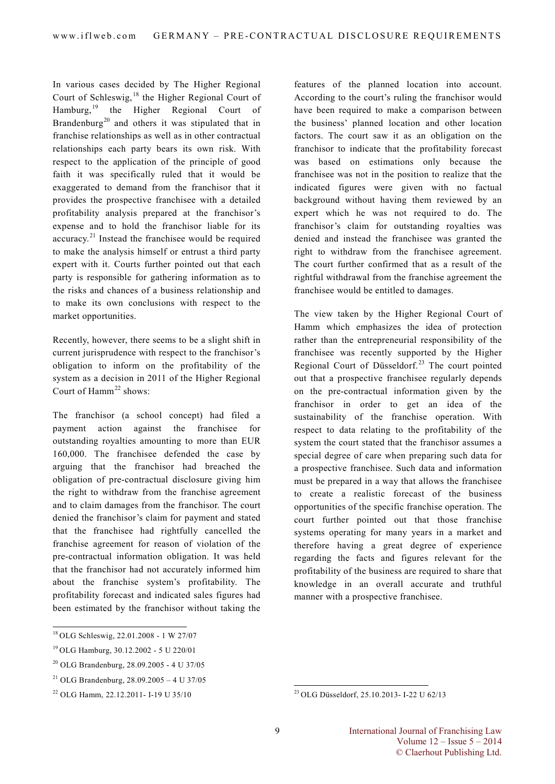In various cases decided by The Higher Regional Court of Schleswig, [18](#page-6-0) the Higher Regional Court of Hamburg,[19](#page-6-1) the Higher Regional Court of Brandenburg<sup>[20](#page-6-2)</sup> and others it was stipulated that in franchise relationships as well as in other contractual relationships each party bears its own risk. With respect to the application of the principle of good faith it was specifically ruled that it would be exaggerated to demand from the franchisor that it provides the prospective franchisee with a detailed profitability analysis prepared at the franchisor's expense and to hold the franchisor liable for its accuracy.<sup>[21](#page-6-3)</sup> Instead the franchisee would be required to make the analysis himself or entrust a third party expert with it. Courts further pointed out that each party is responsible for gathering information as to the risks and chances of a business relationship and to make its own conclusions with respect to the market opportunities.

Recently, however, there seems to be a slight shift in current jurisprudence with respect to the franchisor's obligation to inform on the profitability of the system as a decision in 2011 of the Higher Regional Court of  $Hamm^{22}$  $Hamm^{22}$  $Hamm^{22}$  shows:

The franchisor (a school concept) had filed a payment action against the franchisee for outstanding royalties amounting to more than EUR 160,000. The franchisee defended the case by arguing that the franchisor had breached the obligation of pre-contractual disclosure giving him the right to withdraw from the franchise agreement and to claim damages from the franchisor. The court denied the franchisor's claim for payment and stated that the franchisee had rightfully cancelled the franchise agreement for reason of violation of the pre-contractual information obligation. It was held that the franchisor had not accurately informed him about the franchise system's profitability. The profitability forecast and indicated sales figures had been estimated by the franchisor without taking the

features of the planned location into account. According to the court's ruling the franchisor would have been required to make a comparison between the business' planned location and other location factors. The court saw it as an obligation on the franchisor to indicate that the profitability forecast was based on estimations only because the franchisee was not in the position to realize that the indicated figures were given with no factual background without having them reviewed by an expert which he was not required to do. The franchisor's claim for outstanding royalties was denied and instead the franchisee was granted the right to withdraw from the franchisee agreement. The court further confirmed that as a result of the rightful withdrawal from the franchise agreement the franchisee would be entitled to damages.

The view taken by the Higher Regional Court of Hamm which emphasizes the idea of protection rather than the entrepreneurial responsibility of the franchisee was recently supported by the Higher Regional Court of Düsseldorf.<sup>[23](#page-6-4)</sup> The court pointed out that a prospective franchisee regularly depends on the pre-contractual information given by the franchisor in order to get an idea of the sustainability of the franchise operation. With respect to data relating to the profitability of the system the court stated that the franchisor assumes a special degree of care when preparing such data for a prospective franchisee. Such data and information must be prepared in a way that allows the franchisee to create a realistic forecast of the business opportunities of the specific franchise operation. The court further pointed out that those franchise systems operating for many years in a market and therefore having a great degree of experience regarding the facts and figures relevant for the profitability of the business are required to share that knowledge in an overall accurate and truthful manner with a prospective franchisee.

<span id="page-6-0"></span><sup>-</sup><sup>18</sup>OLG Schleswig, 22.01.2008 - 1 W 27/07

<span id="page-6-1"></span><sup>19</sup>OLG Hamburg, 30.12.2002 - 5 U 220/01

<span id="page-6-2"></span><sup>20</sup> OLG Brandenburg, 28.09.2005 - 4 U 37/05

<span id="page-6-3"></span><sup>&</sup>lt;sup>21</sup> OLG Brandenburg,  $28.09.2005 - 4$  U 37/05

<span id="page-6-4"></span><sup>22</sup> OLG Hamm, 22.12.2011- I-19 U 35/10

<sup>-</sup><sup>23</sup> OLG Düsseldorf, 25.10.2013- I-22 U 62/13